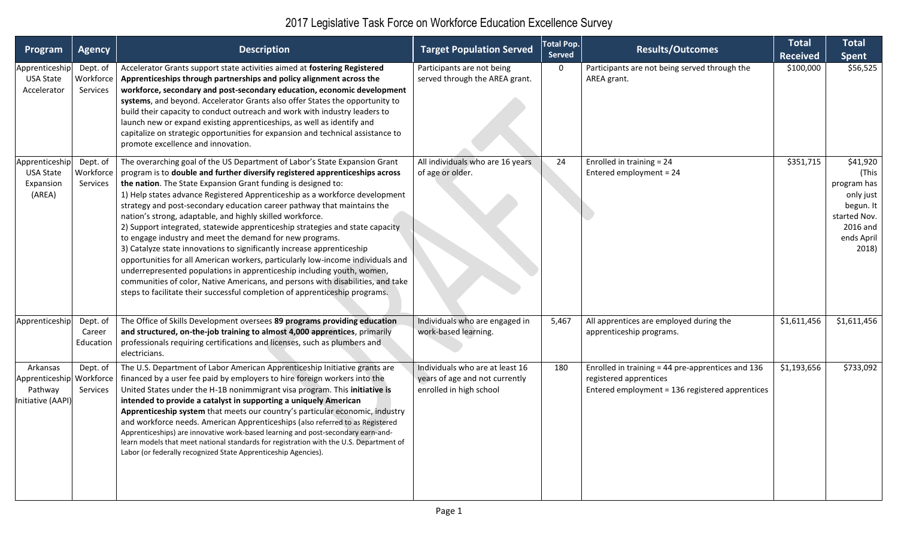| Program                                                              | <b>Agency</b>                     | <b>Description</b>                                                                                                                                                                                                                                                                                                                                                                                                                                                                                                                                                                                                                                                                                                                                                                                                                                                                                                                                                                                       | <b>Target Population Served</b>                                                              | <b>Total Pop.</b><br><b>Served</b> | <b>Results/Outcomes</b>                                                                                                        | <b>Total</b><br><b>Received</b> | <b>Total</b><br>Spent                                                                                             |
|----------------------------------------------------------------------|-----------------------------------|----------------------------------------------------------------------------------------------------------------------------------------------------------------------------------------------------------------------------------------------------------------------------------------------------------------------------------------------------------------------------------------------------------------------------------------------------------------------------------------------------------------------------------------------------------------------------------------------------------------------------------------------------------------------------------------------------------------------------------------------------------------------------------------------------------------------------------------------------------------------------------------------------------------------------------------------------------------------------------------------------------|----------------------------------------------------------------------------------------------|------------------------------------|--------------------------------------------------------------------------------------------------------------------------------|---------------------------------|-------------------------------------------------------------------------------------------------------------------|
| Apprenticeship<br><b>USA State</b><br>Accelerator                    | Dept. of<br>Workforce<br>Services | Accelerator Grants support state activities aimed at fostering Registered<br>Apprenticeships through partnerships and policy alignment across the<br>workforce, secondary and post-secondary education, economic development<br>systems, and beyond. Accelerator Grants also offer States the opportunity to<br>build their capacity to conduct outreach and work with industry leaders to<br>launch new or expand existing apprenticeships, as well as identify and<br>capitalize on strategic opportunities for expansion and technical assistance to<br>promote excellence and innovation.                                                                                                                                                                                                                                                                                                                                                                                                            | Participants are not being<br>served through the AREA grant.                                 | 0                                  | Participants are not being served through the<br>AREA grant.                                                                   | \$100,000                       | \$56,525                                                                                                          |
| Apprenticeship<br><b>USA State</b><br>Expansion<br>(AREA)            | Dept. of<br>Workforce<br>Services | The overarching goal of the US Department of Labor's State Expansion Grant<br>program is to double and further diversify registered apprenticeships across<br>the nation. The State Expansion Grant funding is designed to:<br>1) Help states advance Registered Apprenticeship as a workforce development<br>strategy and post-secondary education career pathway that maintains the<br>nation's strong, adaptable, and highly skilled workforce.<br>2) Support integrated, statewide apprenticeship strategies and state capacity<br>to engage industry and meet the demand for new programs.<br>3) Catalyze state innovations to significantly increase apprenticeship<br>opportunities for all American workers, particularly low-income individuals and<br>underrepresented populations in apprenticeship including youth, women,<br>communities of color, Native Americans, and persons with disabilities, and take<br>steps to facilitate their successful completion of apprenticeship programs. | All individuals who are 16 years<br>of age or older.                                         | 24                                 | Enrolled in training = 24<br>Entered employment = 24                                                                           | \$351,715                       | \$41,920<br>(This<br>program has<br>only just<br>begun. It $ $<br>started Nov.<br>2016 and<br>ends April<br>2018) |
| Apprenticeship                                                       | Dept. of<br>Career<br>Education   | The Office of Skills Development oversees 89 programs providing education<br>and structured, on-the-job training to almost 4,000 apprentices, primarily<br>professionals requiring certifications and licenses, such as plumbers and<br>electricians.                                                                                                                                                                                                                                                                                                                                                                                                                                                                                                                                                                                                                                                                                                                                                    | Individuals who are engaged in<br>work-based learning.                                       | 5,467                              | All apprentices are employed during the<br>apprenticeship programs.                                                            | \$1,611,456                     | \$1,611,456                                                                                                       |
| Arkansas<br>Apprenticeship Workforce<br>Pathway<br>Initiative (AAPI) | Dept. of<br>Services              | The U.S. Department of Labor American Apprenticeship Initiative grants are<br>financed by a user fee paid by employers to hire foreign workers into the<br>United States under the H-1B nonimmigrant visa program. This initiative is<br>intended to provide a catalyst in supporting a uniquely American<br>Apprenticeship system that meets our country's particular economic, industry<br>and workforce needs. American Apprenticeships (also referred to as Registered<br>Apprenticeships) are innovative work-based learning and post-secondary earn-and-<br>learn models that meet national standards for registration with the U.S. Department of<br>Labor (or federally recognized State Apprenticeship Agencies).                                                                                                                                                                                                                                                                               | Individuals who are at least 16<br>years of age and not currently<br>enrolled in high school | 180                                | Enrolled in training = 44 pre-apprentices and 136<br>registered apprentices<br>Entered employment = 136 registered apprentices | \$1,193,656                     | \$733,092                                                                                                         |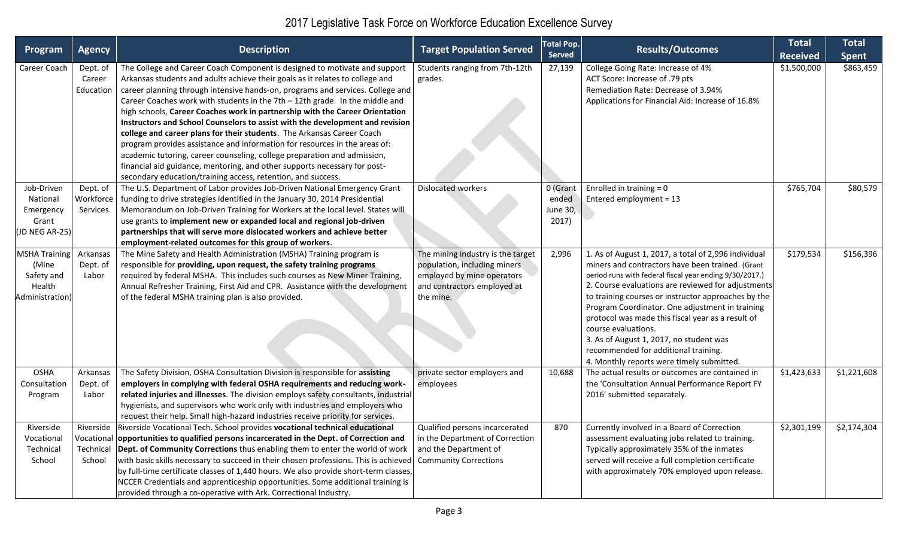| Program                                                                  | <b>Agency</b>                                 | <b>Description</b>                                                                                                                                                                                                                                                                                                                                                                                                                                                                                                                                                                                                                                                                                                                                                                                                                                                                | <b>Target Population Served</b>                                                                                                             | <b>Total Pop.</b><br><b>Served</b>            | <b>Results/Outcomes</b>                                                                                                                                                                                                                                                                                                                                                                                                                                                                                                                         | <b>Total</b><br><b>Received</b> | <b>Total</b><br><b>Spent</b> |
|--------------------------------------------------------------------------|-----------------------------------------------|-----------------------------------------------------------------------------------------------------------------------------------------------------------------------------------------------------------------------------------------------------------------------------------------------------------------------------------------------------------------------------------------------------------------------------------------------------------------------------------------------------------------------------------------------------------------------------------------------------------------------------------------------------------------------------------------------------------------------------------------------------------------------------------------------------------------------------------------------------------------------------------|---------------------------------------------------------------------------------------------------------------------------------------------|-----------------------------------------------|-------------------------------------------------------------------------------------------------------------------------------------------------------------------------------------------------------------------------------------------------------------------------------------------------------------------------------------------------------------------------------------------------------------------------------------------------------------------------------------------------------------------------------------------------|---------------------------------|------------------------------|
| Career Coach                                                             | Dept. of<br>Career<br>Education               | The College and Career Coach Component is designed to motivate and support<br>Arkansas students and adults achieve their goals as it relates to college and<br>career planning through intensive hands-on, programs and services. College and<br>Career Coaches work with students in the $7th - 12th$ grade. In the middle and<br>high schools, Career Coaches work in partnership with the Career Orientation<br>Instructors and School Counselors to assist with the development and revision<br>college and career plans for their students. The Arkansas Career Coach<br>program provides assistance and information for resources in the areas of:<br>academic tutoring, career counseling, college preparation and admission,<br>financial aid guidance, mentoring, and other supports necessary for post-<br>secondary education/training access, retention, and success. | Students ranging from 7th-12th<br>grades.                                                                                                   | 27,139                                        | College Going Rate: Increase of 4%<br>ACT Score: Increase of .79 pts<br>Remediation Rate: Decrease of 3.94%<br>Applications for Financial Aid: Increase of 16.8%                                                                                                                                                                                                                                                                                                                                                                                | \$1,500,000                     | \$863,459                    |
| Job-Driven<br>National<br>Emergency<br>Grant<br>JD NEG AR-25)            | Dept. of<br>Workforce<br><b>Services</b>      | The U.S. Department of Labor provides Job-Driven National Emergency Grant<br>funding to drive strategies identified in the January 30, 2014 Presidential<br>Memorandum on Job-Driven Training for Workers at the local level. States will<br>use grants to implement new or expanded local and regional job-driven<br>partnerships that will serve more dislocated workers and achieve better<br>employment-related outcomes for this group of workers.                                                                                                                                                                                                                                                                                                                                                                                                                           | <b>Dislocated workers</b>                                                                                                                   | 0 (Grant<br>ended<br><b>June 30,</b><br>2017) | Enrolled in training $= 0$<br>Entered employment = 13                                                                                                                                                                                                                                                                                                                                                                                                                                                                                           | \$765,704                       | \$80,579                     |
| <b>MSHA Training</b><br>(Mine<br>Safety and<br>Health<br>Administration) | Arkansas<br>Dept. of<br>Labor                 | The Mine Safety and Health Administration (MSHA) Training program is<br>responsible for providing, upon request, the safety training programs<br>required by federal MSHA. This includes such courses as New Miner Training,<br>Annual Refresher Training, First Aid and CPR. Assistance with the development<br>of the federal MSHA training plan is also provided.                                                                                                                                                                                                                                                                                                                                                                                                                                                                                                              | The mining industry is the target<br>population, including miners<br>employed by mine operators<br>and contractors employed at<br>the mine. | 2,996                                         | 1. As of August 1, 2017, a total of 2,996 individual<br>miners and contractors have been trained. (Grant<br>period runs with federal fiscal year ending 9/30/2017.)<br>2. Course evaluations are reviewed for adjustments<br>to training courses or instructor approaches by the<br>Program Coordinator. One adjustment in training<br>protocol was made this fiscal year as a result of<br>course evaluations.<br>3. As of August 1, 2017, no student was<br>recommended for additional training.<br>4. Monthly reports were timely submitted. | \$179,534                       | \$156,396                    |
| <b>OSHA</b><br>Consultation<br>Program                                   | Arkansas<br>Dept. of<br>Labor                 | The Safety Division, OSHA Consultation Division is responsible for assisting<br>employers in complying with federal OSHA requirements and reducing work-<br>related injuries and illnesses. The division employs safety consultants, industria<br>hygienists, and supervisors who work only with industries and employers who<br>request their help. Small high-hazard industries receive priority for services.                                                                                                                                                                                                                                                                                                                                                                                                                                                                  | private sector employers and<br>employees                                                                                                   | 10,688                                        | The actual results or outcomes are contained in<br>the 'Consultation Annual Performance Report FY<br>2016' submitted separately.                                                                                                                                                                                                                                                                                                                                                                                                                | \$1,423,633                     | \$1,221,608                  |
| Riverside<br>Vocational<br>Technical<br>School                           | Riverside<br>Vocationa<br>Technical<br>School | Riverside Vocational Tech. School provides vocational technical educational<br>opportunities to qualified persons incarcerated in the Dept. of Correction and<br>Dept. of Community Corrections thus enabling them to enter the world of work<br>with basic skills necessary to succeed in their chosen professions. This is achieved<br>by full-time certificate classes of 1,440 hours. We also provide short-term classes,<br>NCCER Credentials and apprenticeship opportunities. Some additional training is<br>provided through a co-operative with Ark. Correctional Industry.                                                                                                                                                                                                                                                                                              | Qualified persons incarcerated<br>in the Department of Correction<br>and the Department of<br><b>Community Corrections</b>                  | 870                                           | Currently involved in a Board of Correction<br>assessment evaluating jobs related to training.<br>Typically approximately 35% of the inmates<br>served will receive a full completion certificate<br>with approximately 70% employed upon release.                                                                                                                                                                                                                                                                                              | \$2,301,199                     | \$2,174,304                  |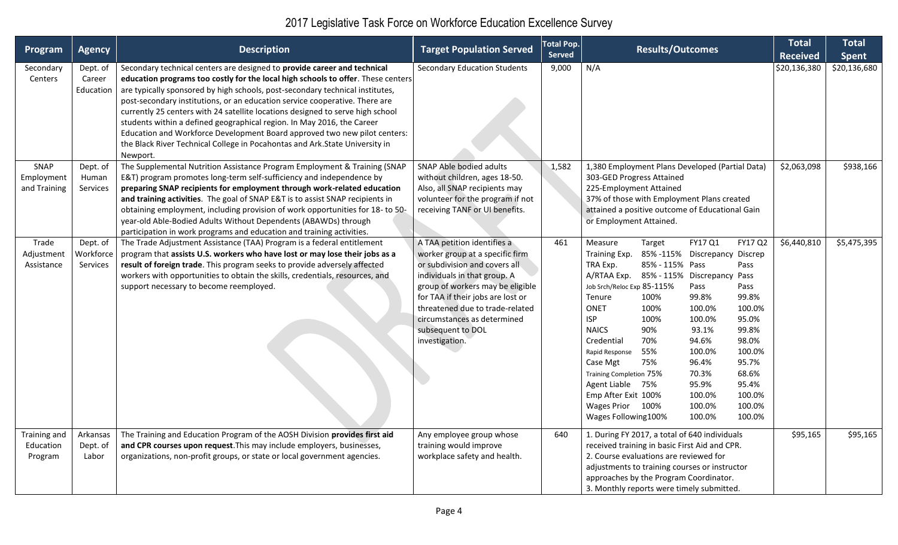| Program                              | <b>Agency</b>                     | <b>Description</b>                                                                                                                                                                                                                                                                                                                                                                                                                                                                                                                                                                                                                                                | <b>Target Population Served</b>                                                                                                                                                                                                                                                                                   | <b>Total Pop.</b><br><b>Served</b> | <b>Results/Outcomes</b>                                                                                                                                                                                                                                                                                                                                                                                                                                                                                                                                                                                                                                                                                                         | <b>Total</b><br><b>Received</b> | <b>Total</b><br><b>Spent</b> |
|--------------------------------------|-----------------------------------|-------------------------------------------------------------------------------------------------------------------------------------------------------------------------------------------------------------------------------------------------------------------------------------------------------------------------------------------------------------------------------------------------------------------------------------------------------------------------------------------------------------------------------------------------------------------------------------------------------------------------------------------------------------------|-------------------------------------------------------------------------------------------------------------------------------------------------------------------------------------------------------------------------------------------------------------------------------------------------------------------|------------------------------------|---------------------------------------------------------------------------------------------------------------------------------------------------------------------------------------------------------------------------------------------------------------------------------------------------------------------------------------------------------------------------------------------------------------------------------------------------------------------------------------------------------------------------------------------------------------------------------------------------------------------------------------------------------------------------------------------------------------------------------|---------------------------------|------------------------------|
| Secondary<br>Centers                 | Dept. of<br>Career<br>Education   | Secondary technical centers are designed to provide career and technical<br>education programs too costly for the local high schools to offer. These centers<br>are typically sponsored by high schools, post-secondary technical institutes,<br>post-secondary institutions, or an education service cooperative. There are<br>currently 25 centers with 24 satellite locations designed to serve high school<br>students within a defined geographical region. In May 2016, the Career<br>Education and Workforce Development Board approved two new pilot centers:<br>the Black River Technical College in Pocahontas and Ark. State University in<br>Newport. | <b>Secondary Education Students</b>                                                                                                                                                                                                                                                                               | 9,000                              | N/A                                                                                                                                                                                                                                                                                                                                                                                                                                                                                                                                                                                                                                                                                                                             | \$20,136,380                    | \$20,136,680                 |
| SNAP<br>Employment<br>and Training   | Dept. of<br>Human<br>Services     | The Supplemental Nutrition Assistance Program Employment & Training (SNAP<br>E&T) program promotes long-term self-sufficiency and independence by<br>preparing SNAP recipients for employment through work-related education<br>and training activities. The goal of SNAP E&T is to assist SNAP recipients in<br>obtaining employment, including provision of work opportunities for 18- to 50-<br>year-old Able-Bodied Adults Without Dependents (ABAWDs) through<br>participation in work programs and education and training activities.                                                                                                                       | SNAP Able bodied adults<br>without children, ages 18-50.<br>Also, all SNAP recipients may<br>volunteer for the program if not<br>receiving TANF or UI benefits.                                                                                                                                                   | 1,582                              | 1,380 Employment Plans Developed (Partial Data)<br>303-GED Progress Attained<br>225-Employment Attained<br>37% of those with Employment Plans created<br>attained a positive outcome of Educational Gain<br>or Employment Attained.                                                                                                                                                                                                                                                                                                                                                                                                                                                                                             | \$2,063,098                     | \$938,166                    |
| Trade<br>Adjustment<br>Assistance    | Dept. of<br>Workforce<br>Services | The Trade Adjustment Assistance (TAA) Program is a federal entitlement<br>program that assists U.S. workers who have lost or may lose their jobs as a<br>result of foreign trade. This program seeks to provide adversely affected<br>workers with opportunities to obtain the skills, credentials, resources, and<br>support necessary to become reemployed.                                                                                                                                                                                                                                                                                                     | A TAA petition identifies a<br>worker group at a specific firm<br>or subdivision and covers all<br>individuals in that group. A<br>group of workers may be eligible<br>for TAA if their jobs are lost or<br>threatened due to trade-related<br>circumstances as determined<br>subsequent to DOL<br>investigation. | 461                                | FY17 Q1<br>FY17 Q2<br>Measure<br>Target<br>Training Exp.<br>85%-115% Discrepancy Discrep<br>TRA Exp.<br>85% - 115% Pass<br>Pass<br>A/RTAA Exp.<br>85% - 115% Discrepancy Pass<br>Job Srch/Reloc Exp 85-115%<br>Pass<br>Pass<br>99.8%<br>100%<br>99.8%<br>Tenure<br>ONET<br>100%<br>100.0%<br>100.0%<br><b>ISP</b><br>100.0%<br>95.0%<br>100%<br><b>NAICS</b><br>90%<br>93.1%<br>99.8%<br>98.0%<br>Credential<br>70%<br>94.6%<br>100.0%<br>55%<br>100.0%<br>Rapid Response<br>96.4%<br>95.7%<br>Case Mgt<br>75%<br>70.3%<br>68.6%<br>Training Completion 75%<br>Agent Liable 75%<br>95.9%<br>95.4%<br>Emp After Exit 100%<br>100.0%<br>100.0%<br>100.0%<br>100.0%<br>Wages Prior 100%<br>100.0%<br>Wages Following100%<br>100.0% | \$6,440,810                     | \$5,475,395                  |
| Training and<br>Education<br>Program | Arkansas<br>Dept. of<br>Labor     | The Training and Education Program of the AOSH Division provides first aid<br>and CPR courses upon request. This may include employers, businesses,<br>organizations, non-profit groups, or state or local government agencies.                                                                                                                                                                                                                                                                                                                                                                                                                                   | Any employee group whose<br>training would improve<br>workplace safety and health.                                                                                                                                                                                                                                | 640                                | 1. During FY 2017, a total of 640 individuals<br>received training in basic First Aid and CPR.<br>2. Course evaluations are reviewed for<br>adjustments to training courses or instructor<br>approaches by the Program Coordinator.<br>3. Monthly reports were timely submitted.                                                                                                                                                                                                                                                                                                                                                                                                                                                | \$95,165                        | \$95,165                     |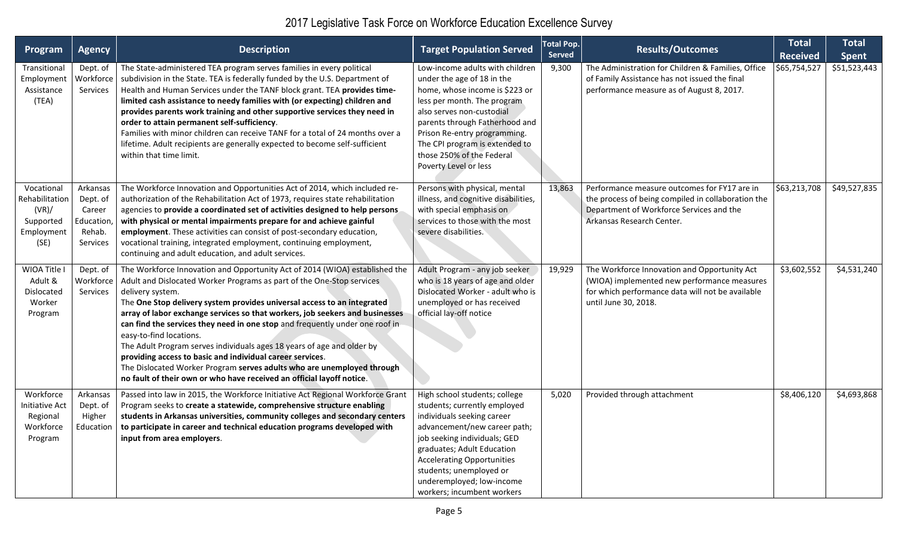| Program                                                                  | <b>Agency</b>                                                     | <b>Description</b>                                                                                                                                                                                                                                                                                                                                                                                                                                                                                                                                                                                                                                                                                                                       | <b>Target Population Served</b>                                                                                                                                                                                                                                                                                       | <b>Total Pop.</b><br><b>Served</b> | <b>Results/Outcomes</b>                                                                                                                                                     | <b>Total</b><br><b>Received</b> | <b>Total</b><br><b>Spent</b> |
|--------------------------------------------------------------------------|-------------------------------------------------------------------|------------------------------------------------------------------------------------------------------------------------------------------------------------------------------------------------------------------------------------------------------------------------------------------------------------------------------------------------------------------------------------------------------------------------------------------------------------------------------------------------------------------------------------------------------------------------------------------------------------------------------------------------------------------------------------------------------------------------------------------|-----------------------------------------------------------------------------------------------------------------------------------------------------------------------------------------------------------------------------------------------------------------------------------------------------------------------|------------------------------------|-----------------------------------------------------------------------------------------------------------------------------------------------------------------------------|---------------------------------|------------------------------|
| Transitional<br>Employment<br>Assistance<br>(TEA)                        | Dept. of<br>Workforce<br>Services                                 | The State-administered TEA program serves families in every political<br>subdivision in the State. TEA is federally funded by the U.S. Department of<br>Health and Human Services under the TANF block grant. TEA provides time-<br>limited cash assistance to needy families with (or expecting) children and<br>provides parents work training and other supportive services they need in<br>order to attain permanent self-sufficiency.<br>Families with minor children can receive TANF for a total of 24 months over a<br>lifetime. Adult recipients are generally expected to become self-sufficient<br>within that time limit.                                                                                                    | Low-income adults with children<br>under the age of 18 in the<br>home, whose income is \$223 or<br>less per month. The program<br>also serves non-custodial<br>parents through Fatherhood and<br>Prison Re-entry programming.<br>The CPI program is extended to<br>those 250% of the Federal<br>Poverty Level or less | 9,300                              | The Administration for Children & Families, Office<br>of Family Assistance has not issued the final<br>performance measure as of August 8, 2017.                            | \$65,754,527                    | \$51,523,443                 |
| Vocational<br>Rehabilitation<br>(VR)/<br>Supported<br>Employment<br>(SE) | Arkansas<br>Dept. of<br>Career<br>Education<br>Rehab.<br>Services | The Workforce Innovation and Opportunities Act of 2014, which included re-<br>authorization of the Rehabilitation Act of 1973, requires state rehabilitation<br>agencies to provide a coordinated set of activities designed to help persons<br>with physical or mental impairments prepare for and achieve gainful<br>employment. These activities can consist of post-secondary education,<br>vocational training, integrated employment, continuing employment,<br>continuing and adult education, and adult services.                                                                                                                                                                                                                | Persons with physical, mental<br>illness, and cognitive disabilities,<br>with special emphasis on<br>services to those with the most<br>severe disabilities.                                                                                                                                                          | 13,863                             | Performance measure outcomes for FY17 are in<br>the process of being compiled in collaboration the<br>Department of Workforce Services and the<br>Arkansas Research Center. | \$63,213,708                    | \$49,527,835                 |
| WIOA Title I<br>Adult &<br>Dislocated<br>Worker<br>Program               | Dept. of<br>Workforce<br>Services                                 | The Workforce Innovation and Opportunity Act of 2014 (WIOA) established the<br>Adult and Dislocated Worker Programs as part of the One-Stop services<br>delivery system.<br>The One Stop delivery system provides universal access to an integrated<br>array of labor exchange services so that workers, job seekers and businesses<br>can find the services they need in one stop and frequently under one roof in<br>easy-to-find locations.<br>The Adult Program serves individuals ages 18 years of age and older by<br>providing access to basic and individual career services.<br>The Dislocated Worker Program serves adults who are unemployed through<br>no fault of their own or who have received an official layoff notice. | Adult Program - any job seeker<br>who is 18 years of age and older<br>Dislocated Worker - adult who is<br>unemployed or has received<br>official lay-off notice                                                                                                                                                       | 19,929                             | The Workforce Innovation and Opportunity Act<br>(WIOA) implemented new performance measures<br>for which performance data will not be available<br>until June 30, 2018.     | \$3,602,552                     | \$4,531,240                  |
| Workforce<br><b>Initiative Act</b><br>Regional<br>Workforce<br>Program   | Arkansas<br>Dept. of<br>Higher<br>Education                       | Passed into law in 2015, the Workforce Initiative Act Regional Workforce Grant<br>Program seeks to create a statewide, comprehensive structure enabling<br>students in Arkansas universities, community colleges and secondary centers<br>to participate in career and technical education programs developed with<br>input from area employers.                                                                                                                                                                                                                                                                                                                                                                                         | High school students; college<br>students; currently employed<br>individuals seeking career<br>advancement/new career path;<br>job seeking individuals; GED<br>graduates; Adult Education<br><b>Accelerating Opportunities</b><br>students; unemployed or<br>underemployed; low-income<br>workers; incumbent workers  | 5,020                              | Provided through attachment                                                                                                                                                 | \$8,406,120                     | \$4,693,868                  |